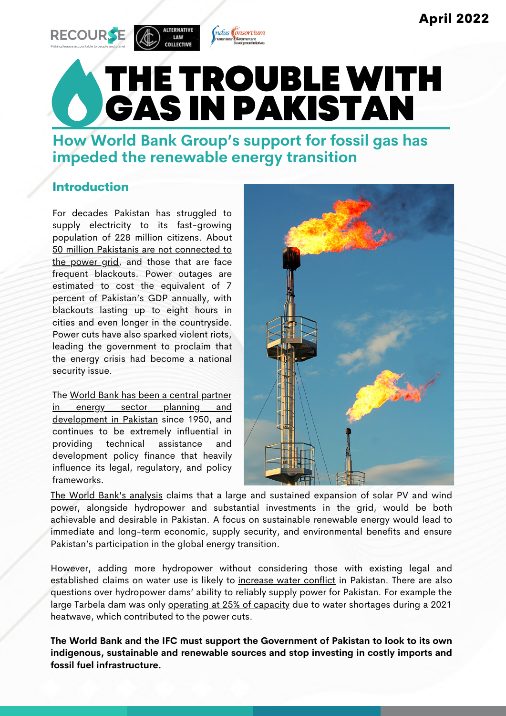

THE TROUBLE WITH GAS IN PAKISTAN

ndus Consortium

**How World Bank Group's support for fossil gas has impeded the renewable energy transition**

### Introduction

For decades Pakistan has struggled to supply electricity to its fast-growing population of 228 million citizens. About 50 million Pakistanis are not [connected](https://blogs.worldbank.org/endpovertyinsouthasia/what-s-keeping-pakistan-dark) to the power grid[,](https://blogs.worldbank.org/endpovertyinsouthasia/what-s-keeping-pakistan-dark) and those that are face frequent blackouts. Power outages are estimated to cost the equivalent of 7 percent of Pakistan's GDP annually, with blackouts lasting up to eight hours in cities and even longer in the countryside. Power cuts have also sparked violent riots, leading the government to proclaim that the energy crisis had become a national security issue.

The World Bank has been a central partner in energy sector planning and [development](https://urgewald.org/en/shop/world-bank-helps-develop-asias-largest-coal-field) in Pakistan since 1950, and continues to be extremely influential in providing technical assistance and development policy finance that heavily influence its legal, regulatory, and policy frameworks.



The World Bank's [analysis](https://openknowledge.worldbank.org/handle/10986/34586) claims that a large and sustained expansion of solar PV and wind power, alongside hydropower and substantial investments in the grid, would be both achievable and desirable in Pakistan. A focus on sustainable renewable energy would lead to immediate and long-term economic, supply security, and environmental benefits and ensure Pakistan's participation in the global energy transition.

However, adding more hydropower without considering those with existing legal and established claims on water use is likely to [increase](https://www.dawn.com/news/1633158) water conflict in Pakistan. There are also questions over hydropower dams' ability to reliably supply power for Pakistan. For example the large Tarbela dam was only [operating](https://tribune.com.pk/story/2309291/pakistans-power-production-hits-record-high-at-24284mw) at 25% of capacity due to water shortages during a 2021 heatwave, which contributed to the power cuts.

**The World Bank and the IFC must support the Government of Pakistan to look to its own indigenous, sustainable and renewable sources and stop investing in costly imports and fossil fuel infrastructure.**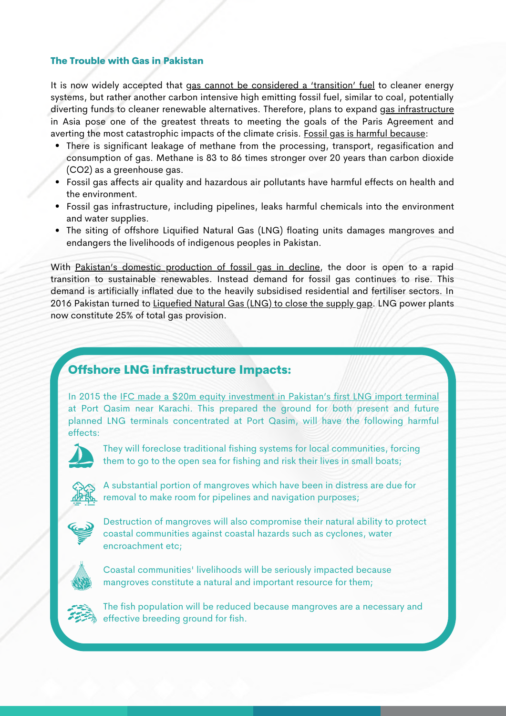#### The Trouble with Gas in Pakistan

It is now widely accepted that gas cannot be [considered](https://www.iisd.org/articles/gas-bridge-fuel) a 'transition' fuel to cleaner energy systems, but rather another carbon intensive high emitting fossil fuel, similar to coal, potentially diverting funds to cleaner renewable alternatives. Therefore, plans to expand gas [infrastructure](https://www.iisd.org/system/files/2021-06/natural-gas-finance-clean-alternatives-global-south.pdf) in Asia pose one of the greatest threats to meeting the goals of the Paris Agreement and averting the most catastrophic impacts of the climate crisis. Fossil gas is harmful [because:](https://www.ucsusa.org/resources/environmental-impacts-natural-gas)

- There is significant leakage of methane from the processing, transport, regasification and consumption of gas. Methane is 83 to 86 times stronger over 20 years than carbon dioxide (CO2) as a greenhouse gas.
- Fossil gas affects air quality and hazardous air pollutants have harmful effects on health and the environment.
- Fossil gas infrastructure, including pipelines, leaks harmful chemicals into the environment and water supplies.
- The siting of offshore Liquified Natural Gas (LNG) floating units damages mangroves and endangers the livelihoods of indigenous peoples in Pakistan.

With Pakistan's domestic [production](https://www.trade.gov/energy-resource-guide-pakistan-oil-and-gas) of fossil gas in decline, the door is open to a rapid transition to sustainable renewables. Instead demand for fossil gas continues to rise. This demand is artificially inflated due to the heavily subsidised residential and fertiliser sectors. In 2016 Pakistan turned to [Liquefied](https://www.aljazeera.com/economy/2021/9/28/pakistans-dependence-on-natural-gas-is-turning-into-a-nightmare) Natural Gas (LNG) to close the supply qap. LNG power plants now constitute 25% of total gas provision.

### Offshore LNG infrastructure Impacts:

In 2015 the IFC made a \$20m equity [investment](https://pressroom.ifc.org/all/pages/PressDetail.aspx?ID=16548) in Pakistan's first LNG import terminal at Port Qasim near Karachi. This prepared the ground for both present and future planned LNG terminals concentrated at Port Qasim, will have the following harmful effects:



They will foreclose traditional fishing systems for local communities, forcing them to go to the open sea for fishing and risk their lives in small boats;



A substantial portion of mangroves which have been in distress are due for removal to make room for pipelines and navigation purposes;



Destruction of mangroves will also compromise their natural ability to protect coastal communities against coastal hazards such as cyclones, water encroachment etc;



Coastal communities' livelihoods will be seriously impacted because mangroves constitute a natural and important resource for them;



The fish population will be reduced because mangroves are a necessary and effective breeding ground for fish.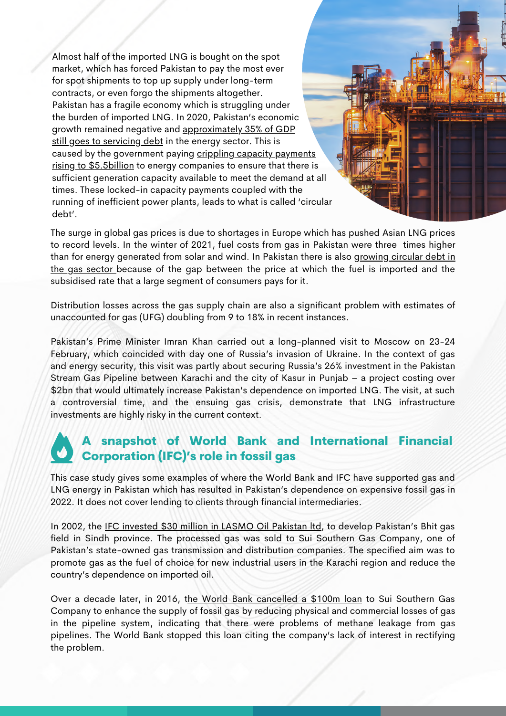Almost half of the imported LNG is bought on the spot market, which has forced Pakistan to pay the most ever for spot shipments to top up supply under long-term contracts, or even forgo the shipments altogether. Pakistan has a fragile economy which is struggling under the burden of imported LNG. In 2020, Pakistan's economic growth remained negative and approximately 35% of [GDP](https://www.aninews.in/news/world/asia/pakistan-power-sector-circular-debt-surges-to-rs-247-trillion20220211015203/) still goes to [servicing](https://www.aninews.in/news/world/asia/pakistan-power-sector-circular-debt-surges-to-rs-247-trillion20220211015203/) debt in the energy sector. This is caused by the [government](https://www.thenews.com.pk/print/913648-circular-debt-rising-by-rs35-billion-per-month) paying crippling capacity payments rising [t](https://www.thenews.com.pk/print/913648-circular-debt-rising-by-rs35-billion-per-month)o \$5.5billion to energy companies to ensure that there is sufficient generation capacity available to meet the demand at all times. These locked-in capacity payments coupled with the running of inefficient power plants, leads to what is called 'circular debt'.

The surge in global gas prices is due to shortages in Europe which has pushed Asian LNG prices to record levels. In the winter of 2021, fuel costs from gas in Pakistan were three times higher than for energy [generated](https://www.dawn.com/news/1651166) from solar and wind. In Pakistan there is also growing circular debt in the gas sector because of the gap between the price at which the fuel is imported and the subsidised rate that a large segment of consumers pays for it.

Distribution losses across the gas supply chain are also a significant problem with estimates of [unaccounted](https://www.brecorder.com/news/40161311/lng-highest-ever-price) for gas (UFG) doubling from 9 to 18% in recent instances.

Pakistan's Prime Minister Imran Khan carried out a [long-planned](https://www.aljazeera.com/opinions/2022/3/3/why-was-pakistans-pm-in-russia-amid-ukraine-invasion) visit to Moscow on 23-24 February, which coincided with day one of Russia's invasion of Ukraine. In the context of gas and energy security, this visit was partly about securing Russia's 26% investment in the Pakistan Stream Gas Pipeline between Karachi and the city of Kasur in Punjab – a project costing over \$2bn that would ultimately increase Pakistan's dependence on imported LNG. The visit, at such a controversial time, and the ensuing gas crisis, demonstrate that LNG infrastructure investments are highly risky in the current context.

### A snapshot of World Bank and International Financial Corporation (IFC)'s role in fossil gas

This case study gives some examples of where the World Bank and IFC have supported gas and LNG energy in Pakistan which has resulted in Pakistan's dependence on expensive fossil gas in 2022. It does not cover lending to clients through financial intermediaries.

In 2002, the IFC [invested](https://pressroom.ifc.org/all/pages/PressDetail.aspx?ID=19340) \$30 million in LASMO Oil Pakistan Itd, to develop Pakistan's Bhit gas field in Sindh province. The processed gas was sold to Sui Southern Gas Company, one of Pakistan's state-owned gas transmission and distribution companies. The specified aim was to promote gas as the fuel of choice for new industrial users in the Karachi region and reduce the country's dependence on imported oil.

Over a decade later, in 2016, [th](https://www.thehindu.com/news/international/World-Bank-cancels-100-million-loan-for-Pakistan%E2%80%99s-natural-gas-project/article16777367.ece)e World Bank [cancelled](https://www.thehindu.com/news/international/World-Bank-cancels-100-million-loan-for-Pakistan%E2%80%99s-natural-gas-project/article16777367.ece) a \$100m loan to Sui Southern Gas Company to enhance the supply of fossil gas by reducing physical and commercial losses of gas in the pipeline system, indicating that there were problems of methane leakage from gas pipelines. The World Bank stopped this loan citing the company's lack of interest in rectifying the problem.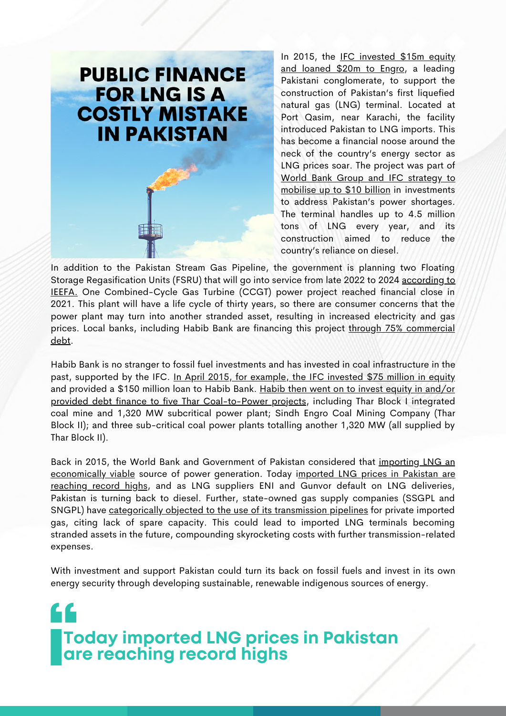## **PUBLIC FINANCE FOR LNG IS A COSTLY MISTAKE IN PAKISTAN**

In 2015, the IFC [invested](https://www.google.com/url?q=https://disclosures.ifc.org/project-detail/SII/34603/elengy-terminal&sa=D&source=docs&ust=1649243792741393&usg=AOvVaw0WStXsfKUC9yN43ZqcZKIa) \$15m equity and loaned \$20m to Engro, a leading Pakistani conglomerate, to support the construction of Pakistan's first liquefied natural gas (LNG) terminal. Located at Port Qasim, near Karachi, the facility introduced Pakistan to LNG imports. This has become a financial noose around the neck of the country's energy sector as LNG prices soar. The project was part of World Bank Group and IFC strategy to mob[i](https://pressroom.ifc.org/all/pages/PressDetail.aspx?ID=16548)lise up to \$10 billion in [investments](https://pressroom.ifc.org/all/pages/PressDetail.aspx?ID=16548) to address Pakistan's power shortages. The terminal handles up to 4.5 million tons of LNG every year, and its construction aimed to reduce the country's reliance on diesel.

In addition to the Pakistan Stream Gas Pipeline, the government is planning two Floating Storage Regasification Units (FSRU) that will go into service from late 2022 to 2024 according to IEEFA. One [Combined-Cycle](http://ieefa.org/wp-content/uploads/2021/12/Examining-Cracks-in-Emerging-Asias-LNG-to-Power-Value-Chain_December-2021.pdf) Gas Turbine (CCGT) power project reached financial close in 2021. This plant will have a life cycle of thirty years, so there are consumer concerns that the power plant may turn into another stranded asset, resulting in increased electricity and gas prices. Local banks, including Habib Bank are financing this project through 75% [commercial](https://www.dawn.com/news/1620020) debt.

Habib Bank is no stranger to fossil fuel investments and has invested in coal infrastructure in the past, supported by the IFC. In April 2015, for [example,](https://pressroom.ifc.org/all/pages/PressDetail.aspx?ID=16516) the IFC invested \$75 million in equity and provided a \$150 million loan to Habib Bank. Habib then went on to invest equity in and/or provided debt finance to five Thar [Coal-to-Power](https://www.urgewald.org/sites/default/files/media-files/World%20Bank%20Policy%20Lending%20Pakistan_Urgewald.pdf) projects, including Thar Block I integrated coal mine and 1,320 MW subcritical power plant; Sindh Engro Coal Mining Company (Thar Block II); and three sub-critical coal power plants totalling another 1,320 MW (all supplied by Thar Block II).

Back in 2015, the World Bank and Government of Pakistan considered that importing LNG an [economically](https://www.reuters.com/article/pakistan-qatar-lng-idINKCN0VJ1YS) v[i](https://www.brecorder.com/news/40161311/lng-highest-ever-price)able source of power generation. Today imported LNG prices in Pakistan are reaching record highs, and as LNG suppliers ENI and Gunvor default on LNG deliveries, Pakistan is turning back to diesel. Further, state-owned gas supply companies (SSGPL and SNGPL) have [categorically](https://www.dawn.com/news/1618884) objected to the use of its transmission pipelines for private imported gas, citing lack of spare capacity. This could lead to imported LNG terminals becoming stranded assets in the future, compounding skyrocketing costs with further transmission-related expenses.

With investment and support Pakistan could turn its back on fossil fuels and invest in its own energy security through developing sustainable, renewable indigenous sources of energy.

F C **Today imported LNG prices in Pakistan are reaching record highs**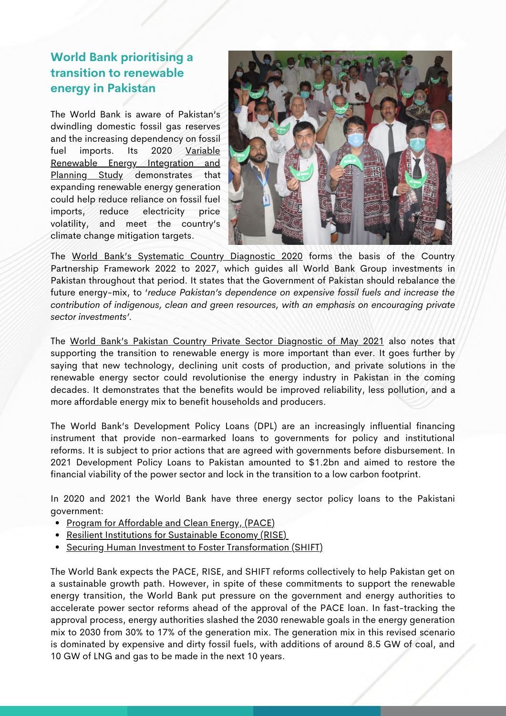### **World Bank prioritising a transition to renewable energy in Pakistan**

The World Bank is aware of Pakistan's dwindling domestic fossil gas reserves and the increasing dependency on fossil fuel imports. Its 2020 Variable Renewable Energy Integration and Planning Study [demonstrates](https://documents.worldbank.org/en/publication/documents-reports/documentdetail/884991601929294705/variable-renewable-energy-integration-and-planning-study) that expanding renewable energy generation could help reduce reliance on fossil fuel imports, reduce electricity price volatility, and meet the country's climate change mitigation targets.



The World Bank's [Systematic](https://www.google.com/search?q=World+Bank+Pakistan+Systemic+Country+Diagnostic&oq=World+Bank+Pakistan+Systemic+Country+Diagnostic&aqs=chrome..69i57j0i8i13i30.11507j0j7&sourceid=chrome&ie=UTF-8) Country Diagnostic 2020 forms the basis of the Country Partnership Framework 2022 to 2027, which guides all World Bank Group investments in Pakistan throughout that period. It states that the Government of Pakistan should rebalance the future energy-mix, to '*reduce Pakistan's dependence on expensive fossil fuels and increase the contribution of indigenous, clean and green resources, with an emphasis on encouraging private sector investments'.*

[The](https://www.ifc.org/wps/wcm/connect/4f4ba557-5538-4f80-8f51-22a57d9dcc2f/CPSD-Pakistan.pdf?MOD=AJPERES&CVID=nCEu6en) World Bank's Pakistan Country Private Sector [Diagnostic](https://www.ifc.org/wps/wcm/connect/4f4ba557-5538-4f80-8f51-22a57d9dcc2f/CPSD-Pakistan.pdf?MOD=AJPERES&CVID=nCEu6en) of May 2021 also notes that supporting the transition to renewable energy is more important than ever. It goes further by saying that new technology, declining unit costs of production, and private solutions in the renewable energy sector could revolutionise the energy industry in Pakistan in the coming decades. It demonstrates that the benefits would be improved reliability, less pollution, and a more affordable energy mix to benefit households and producers.

The World Bank's Development Policy Loans (DPL) are an increasingly influential financing instrument that provide non-earmarked loans to governments for policy and institutional reforms. It is subject to prior actions that are agreed with governments before disbursement. In 2021 Development Policy Loans to Pakistan amounted to \$1.2bn and aimed to restore the financial viability of the power sector and lock in the transition to a low carbon footprint.

In 2020 and 2021 the World Bank have three energy sector policy loans to the Pakistani government:

- Program for [Affordable](https://projects.worldbank.org/en/projects-operations/project-detail/P174553) and Clean Energy, (PACE)
- Resilient Institutions for [Sustainable](https://www.worldbank.org/en/news/loans-credits/2020/06/29/pakistan-resilient-institutions-for-sustainable-economy-program) Economy (RISE)
- Securing Human Investment to Foster [Transformation](https://www.worldbank.org/en/news/loans-credits/2020/05/21/pakistan-securing-human-investments-to-foster-transformation-shift) (SHIFT)

The World Bank expects the PACE, RISE, and SHIFT reforms collectively to help Pakistan get on a sustainable growth path. However, in spite of these [commitments](https://www.worldbank.org/en/news/press-release/2021/08/07/world-bank-vice-president-visits-pakistan-emphasizes-importance-of-structural-reforms-to-sustain-recovery) to support the renewable energy transition, the World Bank put pressure on the government and energy authorities to accelerate power sector reforms ahead of the approval of the PACE loan. In fast-tracking the approval process, energy authorities slashed the 2030 renewable goals in the energy generation mix to 2030 from 30% to 17% of the generation mix. The generation mix in this revised scenario is dominated by expensive and dirty fossil fuels, with additions of around 8.5 GW of coal, and 10 GW of LNG and gas to be made in the next 10 years.